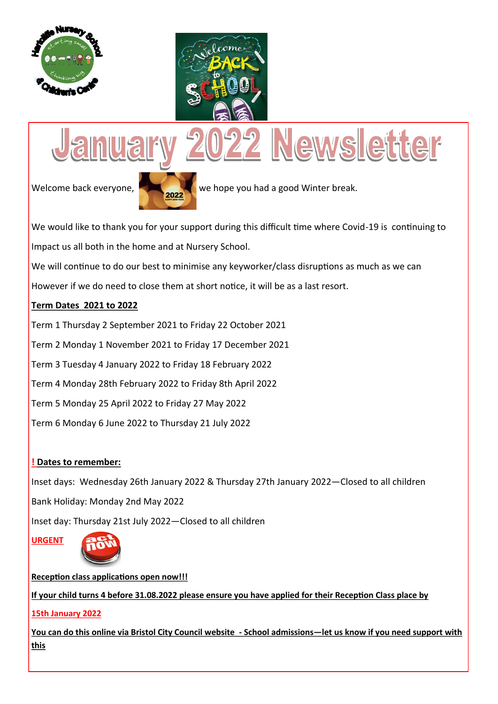



# 022 Newsletter **huary**  $U_{\mathcal{C}}$



Welcome back everyone, **2022** we hope you had a good Winter break.

We would like to thank you for your support during this difficult time where Covid-19 is continuing to Impact us all both in the home and at Nursery School.

We will continue to do our best to minimise any keyworker/class disruptions as much as we can

However if we do need to close them at short notice, it will be as a last resort.

## **Term Dates 2021 to 2022**

Term 1 Thursday 2 September 2021 to Friday 22 October 2021

Term 2 Monday 1 November 2021 to Friday 17 December 2021

Term 3 Tuesday 4 January 2022 to Friday 18 February 2022

Term 4 Monday 28th February 2022 to Friday 8th April 2022

Term 5 Monday 25 April 2022 to Friday 27 May 2022

Term 6 Monday 6 June 2022 to Thursday 21 July 2022

## **! Dates to remember:**

Inset days: Wednesday 26th January 2022 & Thursday 27th January 2022—Closed to all children Bank Holiday: Monday 2nd May 2022 Inset day: Thursday 21st July 2022—Closed to all children

**URGENT** 



**Reception class applications open now!!! If your child turns 4 before 31.08.2022 please ensure you have applied for their Reception Class place by** 

## **15th January 2022**

**You can do this online via Bristol City Council website - School admissions—let us know if you need support with this**